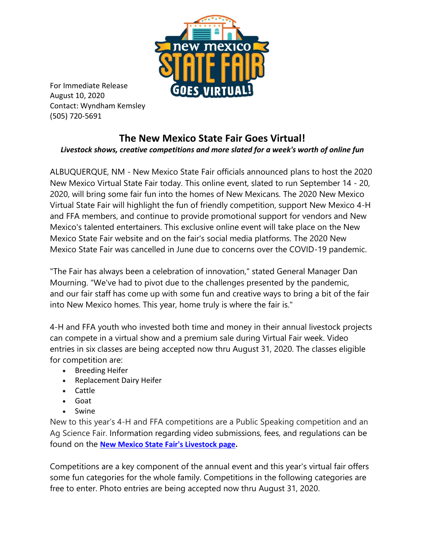

For Immediate Release August 10, 2020 Contact: Wyndham Kemsley (505) 720-5691

## **The New Mexico State Fair Goes Virtual!** *Livestock shows, creative competitions and more slated for a week's worth of online fun*

ALBUQUERQUE, NM - New Mexico State Fair officials announced plans to host the 2020 New Mexico Virtual State Fair today. This online event, slated to run September 14 - 20, 2020, will bring some fair fun into the homes of New Mexicans. The 2020 New Mexico Virtual State Fair will highlight the fun of friendly competition, support New Mexico 4-H and FFA members, and continue to provide promotional support for vendors and New Mexico's talented entertainers. This exclusive online event will take place on the New Mexico State Fair website and on the fair's social media platforms. The 2020 New Mexico State Fair was cancelled in June due to concerns over the COVID-19 pandemic.

"The Fair has always been a celebration of innovation," stated General Manager Dan Mourning. "We've had to pivot due to the challenges presented by the pandemic, and our fair staff has come up with some fun and creative ways to bring a bit of the fair into New Mexico homes. This year, home truly is where the fair is."

4-H and FFA youth who invested both time and money in their annual livestock projects can compete in a virtual show and a premium sale during Virtual Fair week. Video entries in six classes are being accepted now thru August 31, 2020. The classes eligible for competition are:

- Breeding Heifer
- Replacement Dairy Heifer
- Cattle
- Goat
- Swine

New to this year's 4-H and FFA competitions are a Public Speaking competition and an Ag Science Fair. Information regarding video submissions, fees, and regulations can be found on the **[New Mexico State Fair's Livestock page.](https://statefair.exponm.com/p/participate/competitions/livestock-shows)**

Competitions are a key component of the annual event and this year's virtual fair offers some fun categories for the whole family. Competitions in the following categories are free to enter. Photo entries are being accepted now thru August 31, 2020.